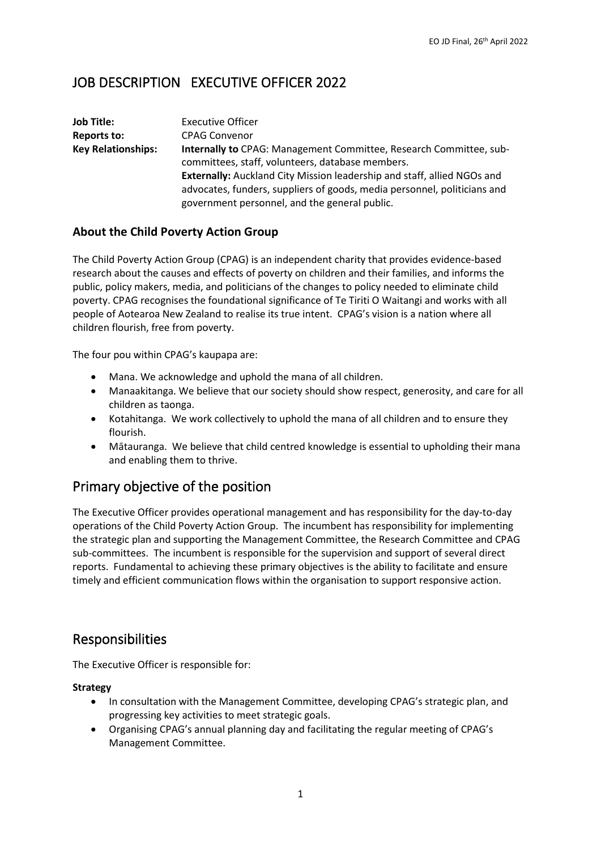# JOB DESCRIPTION EXECUTIVE OFFICER 2022

| Job Title:                | <b>Executive Officer</b>                                                       |
|---------------------------|--------------------------------------------------------------------------------|
| Reports to:               | <b>CPAG Convenor</b>                                                           |
| <b>Key Relationships:</b> | <b>Internally to CPAG: Management Committee, Research Committee, sub-</b>      |
|                           | committees, staff, volunteers, database members.                               |
|                           | <b>Externally:</b> Auckland City Mission leadership and staff, allied NGOs and |
|                           | advocates, funders, suppliers of goods, media personnel, politicians and       |
|                           | government personnel, and the general public.                                  |

### **About the Child Poverty Action Group**

The Child Poverty Action Group (CPAG) is an independent charity that provides evidence-based research about the causes and effects of poverty on children and their families, and informs the public, policy makers, media, and politicians of the changes to policy needed to eliminate child poverty. CPAG recognises the foundational significance of Te Tiriti O Waitangi and works with all people of Aotearoa New Zealand to realise its true intent. CPAG's vision is a nation where all children flourish, free from poverty.

The four pou within CPAG's kaupapa are:

- Mana. We acknowledge and uphold the mana of all children.
- Manaakitanga. We believe that our society should show respect, generosity, and care for all children as taonga.
- Kotahitanga. We work collectively to uphold the mana of all children and to ensure they flourish.
- Mātauranga. We believe that child centred knowledge is essential to upholding their mana and enabling them to thrive.

## Primary objective of the position

The Executive Officer provides operational management and has responsibility for the day-to-day operations of the Child Poverty Action Group. The incumbent has responsibility for implementing the strategic plan and supporting the Management Committee, the Research Committee and CPAG sub-committees. The incumbent is responsible for the supervision and support of several direct reports. Fundamental to achieving these primary objectives is the ability to facilitate and ensure timely and efficient communication flows within the organisation to support responsive action.

### Responsibilities

The Executive Officer is responsible for:

#### **Strategy**

- In consultation with the Management Committee, developing CPAG's strategic plan, and progressing key activities to meet strategic goals.
- Organising CPAG's annual planning day and facilitating the regular meeting of CPAG's Management Committee.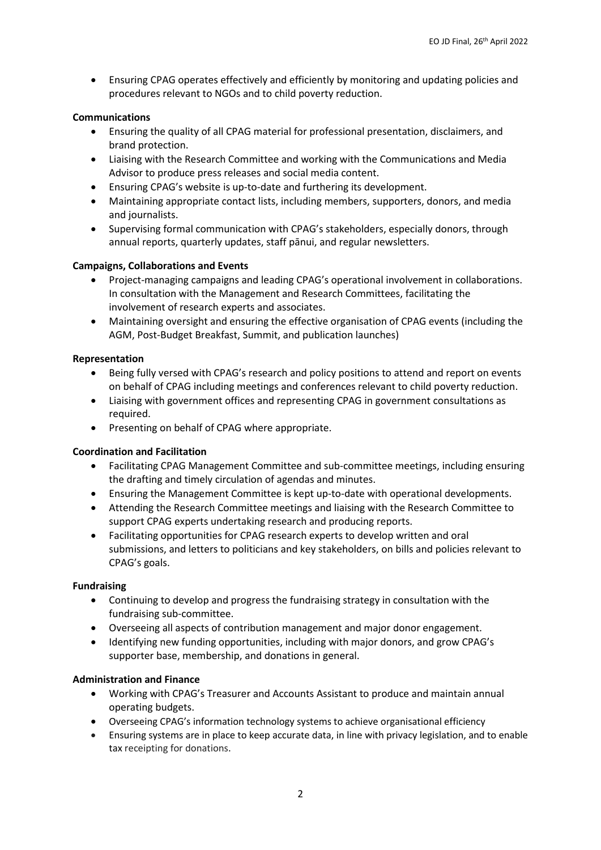• Ensuring CPAG operates effectively and efficiently by monitoring and updating policies and procedures relevant to NGOs and to child poverty reduction.

#### **Communications**

- Ensuring the quality of all CPAG material for professional presentation, disclaimers, and brand protection.
- Liaising with the Research Committee and working with the Communications and Media Advisor to produce press releases and social media content.
- Ensuring CPAG's website is up-to-date and furthering its development.
- Maintaining appropriate contact lists, including members, supporters, donors, and media and journalists.
- Supervising formal communication with CPAG's stakeholders, especially donors, through annual reports, quarterly updates, staff pānui, and regular newsletters.

#### **Campaigns, Collaborations and Events**

- Project-managing campaigns and leading CPAG's operational involvement in collaborations. In consultation with the Management and Research Committees, facilitating the involvement of research experts and associates.
- Maintaining oversight and ensuring the effective organisation of CPAG events (including the AGM, Post-Budget Breakfast, Summit, and publication launches)

#### **Representation**

- Being fully versed with CPAG's research and policy positions to attend and report on events on behalf of CPAG including meetings and conferences relevant to child poverty reduction.
- Liaising with government offices and representing CPAG in government consultations as required.
- Presenting on behalf of CPAG where appropriate.

#### **Coordination and Facilitation**

- Facilitating CPAG Management Committee and sub-committee meetings, including ensuring the drafting and timely circulation of agendas and minutes.
- Ensuring the Management Committee is kept up-to-date with operational developments.
- Attending the Research Committee meetings and liaising with the Research Committee to support CPAG experts undertaking research and producing reports.
- Facilitating opportunities for CPAG research experts to develop written and oral submissions, and letters to politicians and key stakeholders, on bills and policies relevant to CPAG's goals.

#### **Fundraising**

- Continuing to develop and progress the fundraising strategy in consultation with the fundraising sub-committee.
- Overseeing all aspects of contribution management and major donor engagement.
- Identifying new funding opportunities, including with major donors, and grow CPAG's supporter base, membership, and donations in general.

#### **Administration and Finance**

- Working with CPAG's Treasurer and Accounts Assistant to produce and maintain annual operating budgets.
- Overseeing CPAG's information technology systems to achieve organisational efficiency
- Ensuring systems are in place to keep accurate data, in line with privacy legislation, and to enable tax receipting for donations.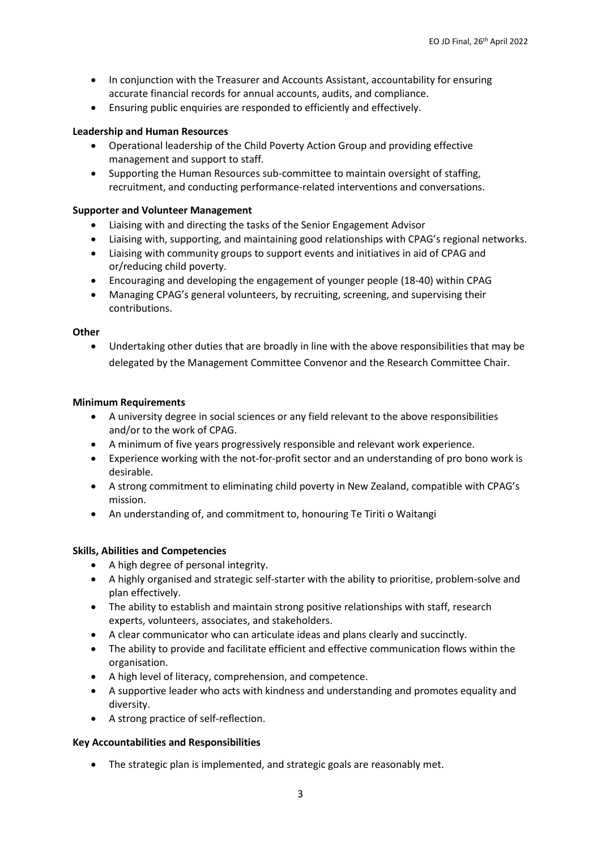- In conjunction with the Treasurer and Accounts Assistant, accountability for ensuring accurate financial records for annual accounts, audits, and compliance.
- Ensuring public enquiries are responded to efficiently and effectively.

#### **Leadership and Human Resources**

- Operational leadership of the Child Poverty Action Group and providing effective management and support to staff.
- Supporting the Human Resources sub-committee to maintain oversight of staffing, recruitment, and conducting performance-related interventions and conversations.

#### **Supporter and Volunteer Management**

- Liaising with and directing the tasks of the Senior Engagement Advisor
- Liaising with, supporting, and maintaining good relationships with CPAG's regional networks.
- Liaising with community groups to support events and initiatives in aid of CPAG and or/reducing child poverty.
- Encouraging and developing the engagement of younger people (18-40) within CPAG
- Managing CPAG's general volunteers, by recruiting, screening, and supervising their contributions.

#### **Other**

• Undertaking other duties that are broadly in line with the above responsibilities that may be delegated by the Management Committee Convenor and the Research Committee Chair.

#### **Minimum Requirements**

- A university degree in social sciences or any field relevant to the above responsibilities and/or to the work of CPAG.
- A minimum of five years progressively responsible and relevant work experience.
- Experience working with the not-for-profit sector and an understanding of pro bono work is desirable.
- A strong commitment to eliminating child poverty in New Zealand, compatible with CPAG's mission.
- An understanding of, and commitment to, honouring Te Tiriti o Waitangi

#### **Skills, Abilities and Competencies**

- A high degree of personal integrity.
- A highly organised and strategic self-starter with the ability to prioritise, problem-solve and plan effectively.
- The ability to establish and maintain strong positive relationships with staff, research experts, volunteers, associates, and stakeholders.
- A clear communicator who can articulate ideas and plans clearly and succinctly.
- The ability to provide and facilitate efficient and effective communication flows within the organisation.
- A high level of literacy, comprehension, and competence.
- A supportive leader who acts with kindness and understanding and promotes equality and diversity.
- A strong practice of self-reflection.

#### **Key Accountabilities and Responsibilities**

• The strategic plan is implemented, and strategic goals are reasonably met.